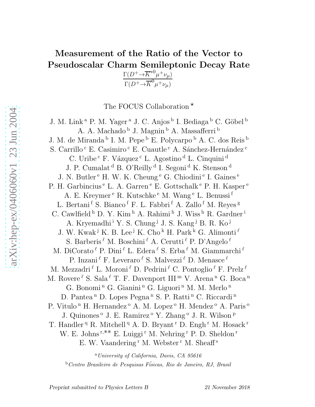# Measurement of the Ratio of the Vector to Pseudoscalar Charm Semileptonic Decay Rate

 $\Gamma(D^+\rightarrow \overline{K}^{*0}\mu^+\nu_\mu)$  $\Gamma(D^+\!\!\rightarrow\!\! \overline{K}^0\mu^+\nu_\mu)$ 

The FOCUS Collaboration  $^\star$ 

J. M. Link<sup>a</sup> P. M. Yager<sup>a</sup> J. C. Anjos<sup>b</sup> I. Bediaga<sup>b</sup> C. Göbel<sup>b</sup> A. A. Machado <sup>b</sup> J. Magnin <sup>b</sup> A. Massafferri <sup>b</sup> J. M. de Miranda <sup>b</sup> I. M. Pepe <sup>b</sup> E. Polycarpo <sup>b</sup> A. C. dos Reis <sup>b</sup> S. Carrillo $\rm ^c$ E. C<br/>asimiro $\rm ^c$ E. Cuautle $\rm ^c$ A. Sánchez-Hernández <br/>  $\rm ^c$ C. Uribe<sup>c</sup> F. Vázquez<sup>c</sup> L. Agostino<sup>d</sup> L. Cinquini<sup>d</sup> J. P. Cumalat <sup>d</sup> B. O'Reilly <sup>d</sup> I. Segoni <sup>d</sup> K. Stenson <sup>d</sup> J. N. Butler<sup>e</sup> H. W. K. Cheung<sup>e</sup> G. Chiodini<sup>e</sup> I. Gaines<sup>e</sup> P. H. Garbincius<sup>e</sup> L. A. Garren<sup>e</sup> E. Gottschalk<sup>e</sup> P. H. Kasper<sup>e</sup> A. E. Kreymer <sup>e</sup> R. Kutschke <sup>e</sup> M. Wang <sup>e</sup> L. Benussi f L. Bertani<sup>f</sup> S. Bianco<sup>f</sup> F. L. Fabbri<sup>f</sup> A. Zallo<sup>f</sup> M. Reyes<sup>g</sup> C. Cawlfield<sup>h</sup> D. Y. Kim<sup>h</sup> A. Rahimi<sup>h</sup> J. Wiss<sup>h</sup> R. Gardner<sup>i</sup> A. Kryemadhi<sup>i</sup> Y. S. Chung<sup>j</sup> J. S. Kang<sup>j</sup> B. R. Ko<sup>j</sup> J. W. Kwak<sup>j</sup> K. B. Lee<sup>j</sup> K. Cho<sup>k</sup> H. Park<sup>k</sup> G. Alimonti<sup> $\ell$ </sup> S. Barberis<sup> $\ell$ </sup> M. Boschini $\ell$  A. Cerutti $\ell$  P. D'Angelo $\ell$ M. DiCorato  $^{\ell}$  P. Dini  $^{\ell}$  L. Edera  $^{\ell}$  S. Erba  $^{\ell}$  M. Giammarchi  $^{\ell}$ P. Inzani $^{\ell}$  F. Leveraro  $^{\ell}$  S. Malvezzi  $^{\ell}$  D. Menasce  $^{\ell}$ M. Mezzadri $^{\ell}$  L. Moroni $^{\ell}$  D. Pedrini $^{\ell}$  C. Pontoglio $^{\ell}$  F. Prelz $^{\ell}$ M. Rovere  $\ell$  S. Sala  $\ell$  T. F. Davenport III<sup>m</sup> V. Arena<sup>n</sup> G. Boca<sup>n</sup> G. Bonomi<sup>n</sup> G. Gianini<sup>n</sup> G. Liguori<sup>n</sup> M. M. Merlo<sup>n</sup> D. Pantea<sup>n</sup> D. Lopes Pegna<sup>n</sup> S. P. Ratti<sup>n</sup> C. Riccardi<sup>n</sup> P. Vitulo<sup>n</sup> H. Hernandez<sup>o</sup> A. M. Lopez<sup>o</sup> H. Mendez<sup>o</sup> A. Paris<sup>o</sup> J. Quinones<sup>o</sup> J. E. Ramirez<sup>o</sup> Y. Zhang<sup>o</sup> J. R. Wilson<sup>p</sup> T. Handler<sup>q</sup> R. Mitchell<sup>q</sup> A. D. Bryant<sup>r</sup> D. Engh<sup>r</sup> M. Hosack<sup>r</sup> W. E. Johns<sup>r,∗∗</sup> E. Luiggi<sup>r</sup> M. Nehring<sup>r</sup> P. D. Sheldon<sup>r</sup> E. W. Vaandering<sup>r</sup> M. Webster<sup>r</sup> M. Sheaff<sup>s</sup>

<sup>a</sup>University of California, Davis, CA 95616  $b$ Centro Brasileiro de Pesquisas Físicas, Rio de Janeiro, RJ, Brasil

Preprint submitted to Physics Letters B 21 November 2018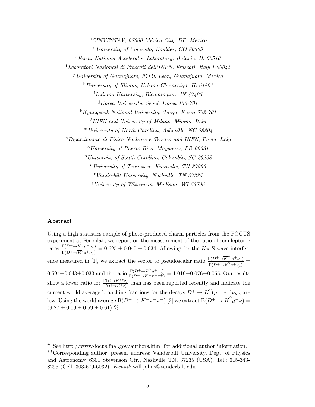$c$ CINVESTAV, 07000 México City, DF, Mexico <sup>d</sup>University of Colorado, Boulder, CO 80309  $e<sup>e</sup> Fermi National Accelerator Laboratory, Batavia, IL 60510$ <sup>f</sup>Laboratori Nazionali di Frascati dell'INFN, Frascati, Italy I-00044  $g$ University of Guanajuato, 37150 Leon, Guanajuato, Mexico  $h$  University of Illinois, Urbana-Champaign, IL 61801 i Indiana University, Bloomington, IN 47405 <sup>j</sup>Korea University, Seoul, Korea 136-701  $K_{K\mu\nu}$  Kyungpook National University, Taegu, Korea  $702-701$  $^{\ell}$ INFN and University of Milano, Milano, Italy <sup>m</sup>University of North Carolina, Asheville, NC 28804 <sup>n</sup>Dipartimento di Fisica Nucleare e Teorica and INFN, Pavia, Italy  $\degree$ University of Puerto Rico, Mayaquez, PR 00681 <sup>p</sup>University of South Carolina, Columbia, SC 29208 <sup>q</sup>University of Tennessee, Knoxville, TN 37996 <sup>r</sup>Vanderbilt University, Nashville, TN 37235 <sup>s</sup>University of Wisconsin, Madison, WI 53706

#### Abstract

Using a high statistics sample of photo-produced charm particles from the FOCUS experiment at Fermilab, we report on the measurement of the ratio of semileptonic rates  $\frac{\Gamma(D^+ \to K \pi \mu^+ \nu_\mu)}{\Gamma(D^+ \to \overline{K}^0 \mu^+ \nu_\mu)} = 0.625 \pm 0.045 \pm 0.034$ . Allowing for the  $K\pi$  S-wave interference measured in [1], we extract the vector to pseudoscalar ratio  $\frac{\Gamma(D^+ \to \overline{K}^{*0} \mu^+ \nu_{\mu})}{\Gamma(D^+ \to \overline{K}^{0} \mu^+ \nu_{\mu})}$  $\frac{\Gamma(D^+ \to K^- \mu^+ \nu_\mu)}{\Gamma(D^+ \to K^0 \mu^+ \nu_\mu)}$  =  $0.594 \pm 0.043 \pm 0.033$  and the ratio  $\frac{\Gamma(D^+ \to \overline{K}^0 \mu^+ \nu_\mu)}{\Gamma(D^+ \to K^- \pi^+ \pi^+)} = 1.019 \pm 0.076 \pm 0.065$ . Our results show a lower ratio for  $\frac{\Gamma(D \to K^* \ell \nu)}{\Gamma(D \to K \ell \nu)}$  than has been reported recently and indicate the current world average branching fractions for the decays  $D^+ \to \overline{K}^0(\mu^+, e^+) \nu_{\mu,e}$  are low. Using the world average  $B(D^+ \to K^-\pi^+\pi^+)$  [2] we extract  $B(D^+ \to \overline{K}^0\mu^+\nu)$  =  $(9.27 \pm 0.69 \pm 0.59 \pm 0.61)$  %.

 $\overline{\star}$  See http://www-focus.fnal.gov/authors.html for additional author information. ∗∗Corresponding author; present address: Vanderbilt University, Dept. of Physics and Astronomy, 6301 Stevenson Ctr., Nashville TN, 37235 (USA). Tel.: 615-343- 8295 (Cell: 303-579-6032). E-mail: will.johns@vanderbilt.edu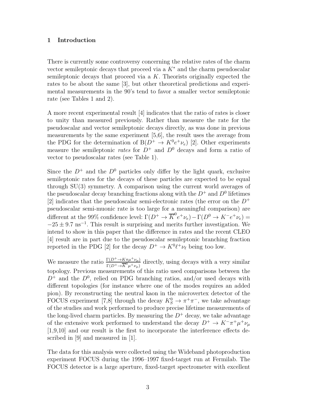## 1 Introduction

There is currently some controversy concerning the relative rates of the charm vector semileptonic decays that proceed via a  $K^*$  and the charm pseudoscalar semileptonic decays that proceed via a  $K$ . Theorists originally expected the rates to be about the same [3], but other theoretical predictions and experimental measurements in the 90's tend to favor a smaller vector semileptonic rate (see Tables 1 and 2).

A more recent experimental result [4] indicates that the ratio of rates is closer to unity than measured previously. Rather than measure the rate for the pseudoscalar and vector semileptonic decays directly, as was done in previous measurements by the same experiment [5,6], the result uses the average from the PDG for the determination of  $B(D^+ \to K^0 e^+ \nu_e)$  [2]. Other experiments measure the semileptonic rates for  $D^+$  and  $D^0$  decays and form a ratio of vector to pseudoscalar rates (see Table 1).

Since the  $D^+$  and the  $D^0$  particles only differ by the light quark, exclusive semileptonic rates for the decays of these particles are expected to be equal through SU(3) symmetry. A comparison using the current world averages of the pseudoscalar decay branching fractions along with the  $D^+$  and  $D^0$  lifetimes [2] indicates that the pseudoscalar semi-electronic rates (the error on the  $D^+$ pseudoscalar semi-muonic rate is too large for a meaningful comparison) are different at the 99% confidence level:  $\Gamma(D^+ \to \overline{K}^0 e^+ \nu_e) - \Gamma(D^0 \to K^- e^+ \nu_e) =$  $-25 \pm 9.7$  ns<sup>-1</sup>. This result is surprising and merits further investigation. We intend to show in this paper that the difference in rates and the recent CLEO [4] result are in part due to the pseudoscalar semileptonic branching fraction reported in the PDG [2] for the decay  $D^+ \to K^0 \ell^+ \nu_\ell$  being too low.

We measure the ratio  $\frac{\Gamma(D^+ \to K \pi \mu^+ \nu_\mu)}{\Gamma(D^+ \to \overline{K}^0 \mu^+ \nu_\mu)}$  directly, using decays with a very similar topology. Previous measurements of this ratio used comparisons between the  $D^+$  and the  $D^0$ , relied on PDG branching ratios, and/or used decays with different topologies (for instance where one of the modes requires an added pion). By reconstructing the neutral kaon in the microvertex detector of the FOCUS experiment [7,8] through the decay  $K_S^0 \to \pi^+ \pi^-$ , we take advantage of the studies and work performed to produce precise lifetime measurements of the long-lived charm particles. By measuring the  $D^+$  decay, we take advantage of the extensive work performed to understand the decay  $D^+ \to K^- \pi^+ \mu^+ \nu_\mu$ [1,9,10] and our result is the first to incorporate the interference effects described in [9] and measured in [1].

The data for this analysis were collected using the Wideband photoproduction experiment FOCUS during the 1996–1997 fixed-target run at Fermilab. The FOCUS detector is a large aperture, fixed-target spectrometer with excellent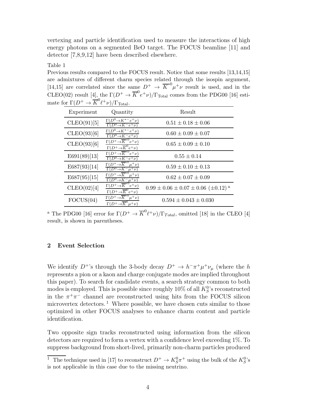vertexing and particle identification used to measure the interactions of high energy photons on a segmented BeO target. The FOCUS beamline [11] and detector [7,8,9,12] have been described elsewhere.

Table 1

Previous results compared to the FOCUS result. Notice that some results [13,14,15] are admixtures of different charm species related through the isospin argument, [14,15] are correlated since the same  $D^+ \rightarrow \overline{K}^{*0} \mu^+ \nu$  result is used, and in the CLEO(02) result [4], the  $\Gamma(D^+ \to \overline{K}^0 e^+ \nu)/\Gamma_{\text{Total}}$  comes from the PDG00 [16] estimate for  $\Gamma(D^+ \to \overline{K}^0 \ell^+ \nu)/\Gamma_{\text{Total}}$ .

| Experiment   | Quantity                                                                                            | Result                                             |
|--------------|-----------------------------------------------------------------------------------------------------|----------------------------------------------------|
| CLEO(91)[5]  | $\Gamma(D^0 \rightarrow K^{*-}e^+\nu)$<br>$\Gamma(D^0 \rightarrow K^- e^+ \nu)$                     | $0.51 \pm 0.18 \pm 0.06$                           |
| CLEO(93)[6]  | $\Gamma(D^0 \rightarrow K^{*-}e^+\nu)$<br>$\Gamma(D^0 \rightarrow K^- e^+ \nu)$                     | $0.60 \pm 0.09 \pm 0.07$                           |
| CLEO(93)[6]  | $\Gamma(D^+\rightarrow K^{*0}e^+\nu)$<br>$\Gamma(D^+\rightarrow \overline{K}^0e^+\nu)$              | $0.65 \pm 0.09 \pm 0.10$                           |
| E691(89)[13] | $\Gamma(D^+\overline{\rightarrow K^{*0}e^+\nu})$<br>$\Gamma(D^0 \rightarrow K^-e^+\nu)$             | $0.55 \pm 0.14$                                    |
| E687(93)[14] | $\Gamma(D^+\rightarrow \overline{K}^{*0}\mu^+\nu)$<br>$(D^0 \rightarrow K^- \mu^+ \nu)$             | $0.59 \pm 0.10 \pm 0.13$                           |
| E687(95)[15] | $\Gamma(D^+\rightarrow K^{*0})$<br>$\mu^+\nu$<br>$\Gamma(D^0 \rightarrow K^- \mu^+ \nu)$            | $0.62 \pm 0.07 \pm 0.09$                           |
| CLEO(02)[4]  | $\Gamma(D^+\rightarrow \overline{K}^{*0}e^+\nu)$<br>$\Gamma(D^+\rightarrow \overline{K}^0 e^+ \nu)$ | $0.99 \pm 0.06 \pm 0.07 \pm 0.06 \ (\pm 0.12)^{a}$ |
| FOCUS(04)    | $\overline{\Gamma(D^+\rightarrow K}^{*0}\mu^+\nu)$<br>$\Gamma(D^+\rightarrow K^{\circ}\mu^+\nu)$    | $0.594 \pm 0.043 \pm 0.030$                        |

<sup>a</sup> The PDG00 [16] error for  $\Gamma(D^+ \to \overline{K}^0 \ell^+ \nu)/\Gamma_{Total}$ , omitted [18] in the CLEO [4] result, is shown in parentheses.

# 2 Event Selection

We identify  $D^{+}$ 's through the 3-body decay  $D^{+} \to h^{-} \pi^{+} \mu^{+} \nu_{\mu}$  (where the h represents a pion or a kaon and charge conjugate modes are implied throughout this paper). To search for candidate events, a search strategy common to both modes is employed. This is possible since roughly  $10\%$  of all  $K_S^0$ 's reconstructed in the  $\pi^+\pi^-$  channel are reconstructed using hits from the FOCUS silicon microvertex detectors.<sup>1</sup> Where possible, we have chosen cuts similar to those optimized in other FOCUS analyses to enhance charm content and particle identification.

Two opposite sign tracks reconstructed using information from the silicon detectors are required to form a vertex with a confidence level exceeding 1%. To suppress background from short-lived, primarily non-charm particles produced

<sup>&</sup>lt;sup>1</sup> The technique used in [17] to reconstruct  $D^+ \to K_S^0 \pi^+$  using the bulk of the  $K_S^0$ 's is not applicable in this case due to the missing neutrino.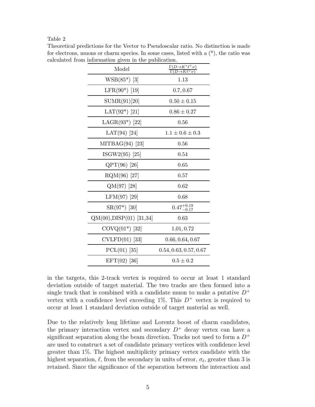## Table 2

| Model                      | $\frac{\Gamma(D\rightarrow K^*\ell^+\nu)}{\Gamma(D\rightarrow K\ell^+\nu)}$ |
|----------------------------|-----------------------------------------------------------------------------|
| $WSB(85^*)$ [3]            | 1.13                                                                        |
| $LFR(90*)$ [19]            | 0.7, 0.67                                                                   |
| SUMR(91)[20]               | $0.50 \pm 0.15$                                                             |
| LAT $(92^*)$ [21]          | $0.86 \pm 0.27$                                                             |
| LAGR $(93^*)$ [22]         | 0.56                                                                        |
| LAT(94) [24]               | $1.1 \pm 0.6 \pm 0.3$                                                       |
| MITBAG $(94)$ [23]         | 0.56                                                                        |
| ISGW2(95) [25]             | 0.54                                                                        |
| $QPT(96)$ [26]             | 0.65                                                                        |
| $RQM(96)$ [27]             | 0.57                                                                        |
| $QM(97)$ [28]              | 0.62                                                                        |
| LFM(97) [29]               | 0.68                                                                        |
| $SR(97^*)$ [30]            | $0.47^{+0.19}_{-0.17}$                                                      |
| $QM(00), DISP(01)$ [31,34] | 0.63                                                                        |
| $COVQ(01^*)$ [32]          | 1.01, 0.72                                                                  |
| $CVLFD(01)$ [33]           | 0.66, 0.64, 0.67                                                            |
| $PCL(01)$ [35]             | 0.54, 0.63, 0.57, 0.67                                                      |
| $EFT(02)$ [36]             | $0.5 \pm 0.2$                                                               |

Theoretical predictions for the Vector to Pseudoscalar ratio. No distinction is made for electrons, muons or charm species. In some cases, listed with a (\*), the ratio was calculated from information given in the publication.

in the targets, this 2-track vertex is required to occur at least 1 standard deviation outside of target material. The two tracks are then formed into a single track that is combined with a candidate muon to make a putative  $D^+$ vertex with a confidence level exceeding  $1\%$ . This  $D^+$  vertex is required to occur at least 1 standard deviation outside of target material as well.

Due to the relatively long lifetime and Lorentz boost of charm candidates, the primary interaction vertex and secondary  $D^+$  decay vertex can have a significant separation along the beam direction. Tracks not used to form a  $D^+$ are used to construct a set of candidate primary vertices with confidence level greater than 1%. The highest multiplicity primary vertex candidate with the highest separation,  $\ell$ , from the secondary in units of error,  $\sigma_{\ell}$ , greater than 3 is retained. Since the significance of the separation between the interaction and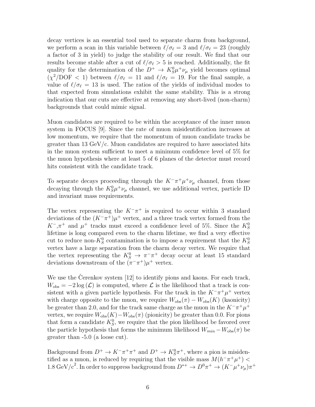decay vertices is an essential tool used to separate charm from background, we perform a scan in this variable between  $\ell/\sigma_{\ell} = 3$  and  $\ell/\sigma_{\ell} = 23$  (roughly a factor of 3 in yield) to judge the stability of our result. We find that our results become stable after a cut of  $\ell/\sigma_{\ell} > 5$  is reached. Additionally, the fit quality for the determination of the  $D^+ \to K_S^0 \mu^+ \nu_\mu$  yield becomes optimal  $(\chi^2/\text{DOF} < 1)$  between  $\ell/\sigma_{\ell} = 11$  and  $\ell/\sigma_{\ell} = 19$ . For the final sample, a value of  $\ell/\sigma_{\ell} = 13$  is used. The ratios of the yields of individual modes to that expected from simulations exhibit the same stability. This is a strong indication that our cuts are effective at removing any short-lived (non-charm) backgrounds that could mimic signal.

Muon candidates are required to be within the acceptance of the inner muon system in FOCUS [9]. Since the rate of muon misidentification increases at low momentum, we require that the momentum of muon candidate tracks be greater than 13  $GeV/c$ . Muon candidates are required to have associated hits in the muon system sufficient to meet a minimum confidence level of 5% for the muon hypothesis where at least 5 of 6 planes of the detector must record hits consistent with the candidate track.

To separate decays proceeding through the  $K^-\pi^+\mu^+\nu_\mu$  channel, from those decaying through the  $K_S^0 \mu^+ \nu_\mu$  channel, we use additional vertex, particle ID and invariant mass requirements.

The vertex representing the  $K^-\pi^+$  is required to occur within 3 standard deviations of the  $(K^-\pi^+) \mu^+$  vertex, and a three track vertex formed from the  $K^-$ , $\pi^+$  and  $\mu^+$  tracks must exceed a confidence level of 5%. Since the  $K^0_S$ lifetime is long compared even to the charm lifetime, we find a very effective cut to reduce non- $K_S^0$  contamination is to impose a requirement that the  $K_S^0$ vertex have a large separation from the charm decay vertex. We require that the vertex representing the  $K_S^0 \to \pi^- \pi^+$  decay occur at least 15 standard deviations downstream of the  $(\pi^{-}\pi^{+})\mu^{+}$  vertex.

We use the Cerenkov system  $[12]$  to identify pions and kaons. For each track,  $W_{\text{obs}} = -2 \log(\mathcal{L})$  is computed, where  $\mathcal L$  is the likelihood that a track is consistent with a given particle hypothesis. For the track in the  $K^-\pi^+\mu^+$  vertex with charge opposite to the muon, we require  $W_{obs}(\pi) - W_{obs}(K)$  (kaonicity) be greater than 2.0, and for the track same charge as the muon in the  $K^-\pi^+\mu^+$ vertex, we require  $W_{obs}(K)-W_{obs}(\pi)$  (pionicity) be greater than 0.0. For pions that form a candidate  $K_S^0$ , we require that the pion likelihood be favored over the particle hypothesis that forms the minimum likelihood  $W_{min} - W_{obs}(\pi)$  be greater than -5.0 (a loose cut).

Background from  $D^+ \to K^-\pi^+\pi^+$  and  $D^+ \to K^0_S\pi^+$ , where a pion is misidentified as a muon, is reduced by requiring that the visible mass  $M(h^{-}\pi^{+}\mu^{+})$  < 1.8 GeV/c<sup>2</sup>. In order to suppress background from  $D^{*+} \to D^0 \pi^+ \to (K^- \mu^+ \nu_\mu) \pi^+$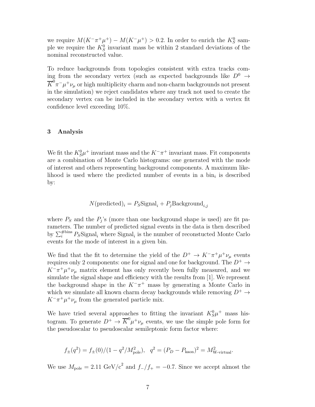we require  $M(K^-\pi^+\mu^+) - M(K^-\mu^+) > 0.2$ . In order to enrich the  $K_S^0$  sample we require the  $K_S^0$  invariant mass be within 2 standard deviations of the nominal reconstructed value.

To reduce backgrounds from topologies consistent with extra tracks coming from the secondary vertex (such as expected backgrounds like  $D^0 \rightarrow$  $\overline{K}^0\pi^-\mu^+\nu_\mu$  or high multiplicity charm and non-charm backgrounds not present in the simulation) we reject candidates where any track not used to create the secondary vertex can be included in the secondary vertex with a vertex fit confidence level exceeding 10%.

#### 3 Analysis

We fit the  $K^0_S \mu^+$  invariant mass and the  $K^-\pi^+$  invariant mass. Fit components are a combination of Monte Carlo histograms: one generated with the mode of interest and others representing background components. A maximum likelihood is used where the predicted number of events in a  $\sin_i$  is described by:

$$
N(\text{predicted})_i = P_S \text{Signal}_i + P_j \text{Background}_{i,j}
$$

where  $P_S$  and the  $P_j$ 's (more than one background shape is used) are fit parameters. The number of predicted signal events in the data is then described by  $\sum_{i}^{\text{\#bins}} P_{S}$ Signal<sub>i</sub> where Signal<sub>i</sub> is the number of reconstucted Monte Carlo events for the mode of interest in a given bin.

We find that the fit to determine the yield of the  $D^+ \to K^-\pi^+\mu^+\nu_\mu$  events requires only 2 components: one for signal and one for background. The  $D^+ \rightarrow$  $K^-\pi^+\mu^+\nu_\mu$  matrix element has only recently been fully measured, and we simulate the signal shape and efficiency with the results from [1]. We represent the background shape in the  $K^-\pi^+$  mass by generating a Monte Carlo in which we simulate all known charm decay backgrounds while removing  $D^+ \rightarrow$  $K^-\pi^+\mu^+\nu_\mu$  from the generated particle mix.

We have tried several approaches to fitting the invariant  $K_S^0 \mu^+$  mass histogram. To generate  $D^+ \to \overline{K}^0 \mu^+ \nu_\mu$  events, we use the simple pole form for the pseudoscalar to pseudoscalar semileptonic form factor where:

$$
f_{\pm}(q^2) = f_{\pm}(0)/(1 - q^2/M_{\text{pole}}^2), \quad q^2 = (P_D - P_{\text{kaon}})^2 = M_{\text{W-virtual}}^2.
$$

We use  $M_{\text{pole}} = 2.11 \text{ GeV}/c^2$  and  $f_{-}/f_{+} = -0.7$ . Since we accept almost the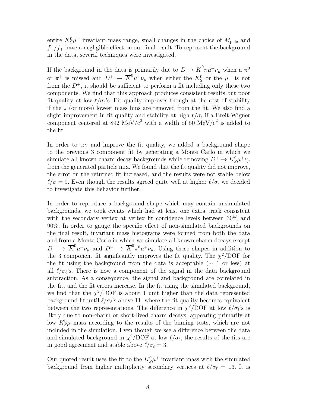entire  $K_S^0 \mu^+$  invariant mass range, small changes in the choice of  $M_{\text{pole}}$  and  $f_{-}/f_{+}$  have a negligible effect on our final result. To represent the background in the data, several techniques were investigated.

If the background in the data is primarily due to  $D \to \overline{K}^0 \pi \mu^+ \nu_\mu$  when a  $\pi^0$ or  $\pi^+$  is missed and  $D^+ \to \overline{K}^0 \mu^+ \nu_\mu$  when either the  $K^0_S$  or the  $\mu^+$  is not from the  $D^+$ , it should be sufficient to perform a fit including only these two components. We find that this approach produces consistent results but poor fit quality at low  $\ell/\sigma_{\ell}$ 's. Fit quality improves though at the cost of stability if the 2 (or more) lowest mass bins are removed from the fit. We also find a slight improvement in fit quality and stability at high  $\ell/\sigma_{\ell}$  if a Breit-Wigner component centered at 892 MeV/ $c^2$  with a width of 50 MeV/ $c^2$  is added to the fit.

In order to try and improve the fit quality, we added a background shape to the previous 3 component fit by generating a Monte Carlo in which we simulate all known charm decay backgrounds while removing  $D^+ \to K_S^0 \mu^+ \nu_\mu$ from the generated particle mix. We found that the fit quality did not improve, the error on the returned fit increased, and the results were not stable below  $\ell/\sigma = 9$ . Even though the results agreed quite well at higher  $\ell/\sigma$ , we decided to investigate this behavior further.

In order to reproduce a background shape which may contain unsimulated backgrounds, we took events which had at least one extra track consistent with the secondary vertex at vertex fit confidence levels between 30% and 90%. In order to gauge the specific effect of non-simulated backgrounds on the final result, invariant mass histograms were formed from both the data and from a Monte Carlo in which we simulate all known charm decays except  $D^+ \to \overline{K}^0 \mu^+ \nu_\mu$  and  $D^+ \to \overline{K}^0 \pi^0 \mu^+ \nu_\mu$ . Using these shapes in addition to the 3 component fit significantly improves the fit quality. The  $\chi^2/\text{DOF}$  for the fit using the background from the data is acceptable ( $\sim 1$  or less) at all  $\ell/\sigma_{\ell}$ 's. There is now a component of the signal in the data background subtraction. As a consequence, the signal and background are correlated in the fit, and the fit errors increase. In the fit using the simulated background, we find that the  $\chi^2$ /DOF is about 1 unit higher than the data represented background fit until  $\ell/\sigma_{\ell}$ 's above 11, where the fit quality becomes equivalent between the two representations. The difference in  $\chi^2$ /DOF at low  $\ell/\sigma_\ell$ 's is likely due to non-charm or short-lived charm decays, appearing primarily at low  $K_S^0\mu$  mass according to the results of the binning tests, which are not included in the simulation. Even though we see a difference between the data and simulated background in  $\chi^2$ /DOF at low  $\ell/\sigma_\ell$ , the results of the fits are in good agreement and stable above  $\ell/\sigma_{\ell} = 3$ .

Our quoted result uses the fit to the  $K_S^0 \mu^+$  invariant mass with the simulated background from higher multiplicity secondary vertices at  $\ell/\sigma_{\ell} = 13$ . It is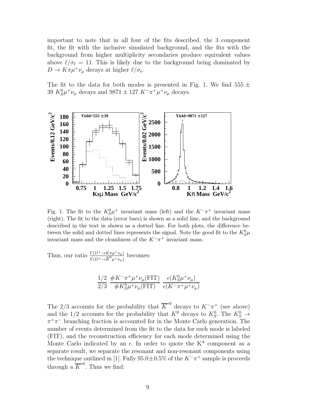important to note that in all four of the fits described, the 3 component fit, the fit with the inclusive simulated background, and the fits with the background from higher multiplicity secondaries produce equivalent values above  $\ell/\sigma_{\ell} = 11$ . This is likely due to the background being dominated by  $D \to K \pi \mu^+ \nu_\mu$  decays at higher  $\ell/\sigma_\ell$ .

The fit to the data for both modes is presented in Fig. 1. We find  $555 \pm$ 39  $K_S^0 \mu^+ \nu_\mu$  decays and 9871  $\pm$  127  $K^- \pi^+ \mu^+ \nu_\mu$  decays.



Fig. 1. The fit to the  $K_S^0\mu^+$  invariant mass (left) and the  $K^-\pi^+$  invariant mass (right). The fit to the data (error bars) is shown as a solid line, and the background described in the text in shown as a dotted line. For both plots, the difference between the solid and dotted lines represents the signal. Note the good fit to the  $K^0_S\mu$ invariant mass and the cleanliness of the  $K^-\pi^+$  invariant mass.

Thus, our ratio  $\frac{\Gamma(D^+ \to K \pi \mu^+ \nu_\mu)}{\Gamma(D^+ \to \overline{K}^0 \mu^+ \nu_\mu)}$  becomes:

$$
\frac{1/2}{2/3} \frac{\#K^-\pi^+\mu^+\nu_\mu(\text{FIT})}{\#K_S^0\mu^+\nu_\mu(\text{FIT})} \frac{\epsilon(K_S^0\mu^+\nu_\mu)}{\epsilon(K^-\pi^+\mu^+\nu_\mu)}
$$

The 2/3 accounts for the probability that  $\overline{K}^{*0}$  decays to  $K^-\pi^+$  (see above) and the 1/2 accounts for the probability that  $K^0$  decays to  $K^0_S$ . The  $K^0_S \rightarrow$  $\pi^{+}\pi^{-}$  branching fraction is accounted for in the Monte Carlo generation. The number of events determined from the fit to the data for each mode is labeled (FIT), and the reconstruction efficiency for each mode determined using the Monte Carlo indicated by an  $\epsilon$ . In order to quote the K<sup>\*</sup> component as a separate result, we separate the resonant and non-resonant components using the technique outlined in [1]. Fully  $95.0 \pm 0.5\%$  of the  $K^-\pi^+$  sample is proceeds through a  $\overline{K}^{*0}$ . Thus we find: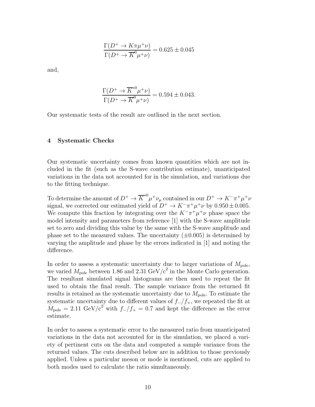$$
\frac{\Gamma(D^+ \to K \pi \mu^+ \nu)}{\Gamma(D^+ \to \overline{K}^0 \mu^+ \nu)} = 0.625 \pm 0.045
$$

and,

$$
\frac{\Gamma(D^+ \to \overline{K}^{*0} \mu^+ \nu)}{\Gamma(D^+ \to \overline{K}^0 \mu^+ \nu)} = 0.594 \pm 0.043.
$$

Our systematic tests of the result are outlined in the next section.

## 4 Systematic Checks

Our systematic uncertainty comes from known quantities which are not included in the fit (such as the S-wave contribution estimate), unanticipated variations in the data not accounted for in the simulation, and variations due to the fitting technique.

To determine the amount of  $D^+ \to \overline{K}^{*0} \mu^+ \nu_\mu$  contained in our  $D^+ \to K^- \pi^+ \mu^+ \nu_\mu$ signal, we corrected our estimated yield of  $D^+ \to K^-\pi^+\mu^+\nu$  by  $0.950 \pm 0.005$ . We compute this fraction by integrating over the  $K^-\pi^+\mu^+\nu$  phase space the model intensity and parameters from reference [1] with the S-wave amplitude set to zero and dividing this value by the same with the S-wave amplitude and phase set to the measured values. The uncertainty  $(\pm 0.005)$  is determined by varying the amplitude and phase by the errors indicated in [1] and noting the difference.

In order to assess a systematic uncertainty due to larger variations of  $M_{\text{pole}}$ , we varied  $M_{\text{pole}}$  between 1.86 and 2.31 GeV/ $c^2$  in the Monte Carlo generation. The resultant simulated signal histograms are then used to repeat the fit used to obtain the final result. The sample variance from the returned fit results is retained as the systematic uncertainty due to  $M_{\text{pole}}$ . To estimate the systematic uncertainty due to different values of  $f_{-}/f_{+}$ , we repeated the fit at  $M_{\text{pole}} = 2.11 \text{ GeV}/c^2$  with  $f_{-}/f_{+} = 0.7$  and kept the difference as the error estimate.

In order to assess a systematic error to the measured ratio from unanticipated variations in the data not accounted for in the simulation, we placed a variety of pertinent cuts on the data and computed a sample variance from the returned values. The cuts described below are in addition to those previously applied. Unless a particular meson or mode is mentioned, cuts are applied to both modes used to calculate the ratio simultaneously.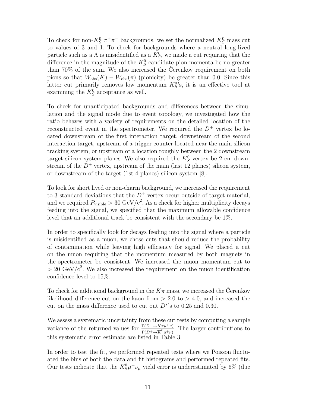To check for non- $K_S^0 \pi^+ \pi^-$  backgrounds, we set the normalized  $K_S^0$  mass cut to values of 3 and 1. To check for backgrounds where a neutral long-lived particle such as a  $\Lambda$  is misidentified as a  $K_S^0$ , we made a cut requiring that the difference in the magnitude of the  $K_S^0$  candidate pion momenta be no greater than  $70\%$  of the sum. We also increased the Cerenkov requirement on both pions so that  $W_{obs}(K) - W_{obs}(\pi)$  (pionicity) be greater than 0.0. Since this latter cut primarily removes low momentum  $K_S^0$ 's, it is an effective tool at examining the  $K_S^0$  acceptance as well.

To check for unanticipated backgrounds and differences between the simulation and the signal mode due to event topology, we investigated how the ratio behaves with a variety of requirements on the detailed location of the reconstructed event in the spectrometer. We required the  $D^+$  vertex be located downstream of the first interaction target, downstream of the second interaction target, upstream of a trigger counter located near the main silicon tracking system, or upstream of a location roughly between the 2 downstream target silicon system planes. We also required the  $K_S^0$  vertex be 2 cm downstream of the  $D^+$  vertex, upstream of the main (last 12 planes) silicon system, or downstream of the target (1st 4 planes) silicon system [8].

To look for short lived or non-charm background, we increased the requirement to 3 standard deviations that the  $D^+$  vertex occur outside of target material, and we required  $P_{\text{visible}} > 30 \text{ GeV}/c^2$ . As a check for higher multiplicity decays feeding into the signal, we specified that the maximum allowable confidence level that an additional track be consistent with the secondary be 1%.

In order to specifically look for decays feeding into the signal where a particle is misidentified as a muon, we chose cuts that should reduce the probability of contamination while leaving high efficiency for signal. We placed a cut on the muon requiring that the momentum measured by both magnets in the spectrometer be consistent. We increased the muon momentum cut to  $> 20 \text{ GeV}/c^2$ . We also increased the requirement on the muon identification confidence level to 15%.

To check for additional background in the  $K\pi$  mass, we increased the Cerenkov likelihood difference cut on the kaon from  $> 2.0$  to  $> 4.0$ , and increased the cut on the mass difference used to cut out  $D^*$ 's to 0.25 and 0.30.

We assess a systematic uncertainty from these cut tests by computing a sample variance of the returned values for  $\frac{\Gamma(D^+ \to K\pi\mu^+\nu)}{\Gamma(D^+ \to \overline{K}^0\mu^+\nu)}$ . The larger contributions to this systematic error estimate are listed in Table 3.

In order to test the fit, we performed repeated tests where we Poisson fluctuated the bins of both the data and fit histograms and performed repeated fits. Our tests indicate that the  $K_S^0 \mu^+ \nu_\mu$  yield error is underestimated by 6% (due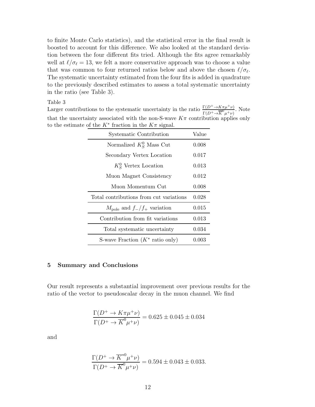to finite Monte Carlo statistics), and the statistical error in the final result is boosted to account for this difference. We also looked at the standard deviation between the four different fits tried. Although the fits agree remarkably well at  $\ell/\sigma_{\ell} = 13$ , we felt a more conservative approach was to choose a value that was common to four returned ratios below and above the chosen  $\ell/\sigma_{\ell}$ . The systematic uncertainty estimated from the four fits is added in quadrature to the previously described estimates to assess a total systematic uncertainty in the ratio (see Table 3).

Table 3

Larger contributions to the systematic uncertainty in the ratio  $\frac{\Gamma(D^+\to K\pi\mu^+\nu)}{\Gamma(D^+\to\overline{K}^0\mu^+\nu)}$ . Note that the uncertainty associated with the non-S-wave  $K\pi$  contribution applies only to the estimate of the  $K^*$  fraction in the  $K\pi$  signal.

| <b>Systematic Contribution</b>                | Value       |
|-----------------------------------------------|-------------|
| Normalized $K_S^0$ Mass Cut                   | 0.008       |
| Secondary Vertex Location                     | 0.017       |
| $K_S^0$ Vertex Location                       | 0.013       |
| Muon Magnet Consistency                       | 0.012       |
| Muon Momentum Cut                             | 0.008       |
| Total contributions from cut variations       | 0.028       |
| $M_{\text{pole}}$ and $f_{-}/f_{+}$ variation | 0.015       |
| Contribution from fit variations              | 0.013       |
| Total systematic uncertainty                  | $\,0.034\,$ |
| S-wave Fraction $(K^*$ ratio only)            | 0.003       |

#### 5 Summary and Conclusions

Our result represents a substantial improvement over previous results for the ratio of the vector to pseudoscalar decay in the muon channel. We find

$$
\frac{\Gamma(D^+ \to K \pi \mu^+ \nu)}{\Gamma(D^+ \to \overline{K}^0 \mu^+ \nu)} = 0.625 \pm 0.045 \pm 0.034
$$

and

$$
\frac{\Gamma(D^+ \to \overline{K}^{*0} \mu^+ \nu)}{\Gamma(D^+ \to \overline{K}^0 \mu^+ \nu)} = 0.594 \pm 0.043 \pm 0.033.
$$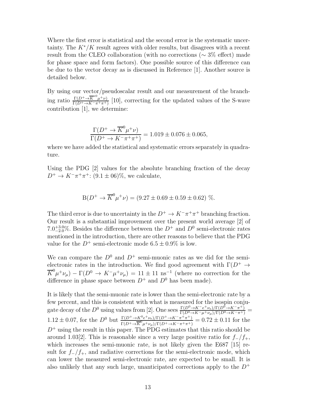Where the first error is statistical and the second error is the systematic uncertainty. The  $K^*/K$  result agrees with older results, but disagrees with a recent result from the CLEO collaboration (with no corrections (∼ 3% effect) made for phase space and form factors). One possible source of this difference can be due to the vector decay as is discussed in Reference [1]. Another source is detailed below.

By using our vector/pseudoscalar result and our measurement of the branching ratio  $\frac{\Gamma(D^+ \to \overline{K}^{*0} \mu^+ \nu)}{\Gamma(D^+ \to K^- \pi^+ \pi^+)}$  $\frac{\Gamma(D^+\to K^-\mu^+\nu)}{\Gamma(D^+\to K^-\pi^+\pi^+)}$  [10], correcting for the updated values of the S-wave contribution [1], we determine:

$$
\frac{\Gamma(D^+ \to \overline{K}^0 \mu^+ \nu)}{\Gamma(D^+ \to K^- \pi^+ \pi^+)} = 1.019 \pm 0.076 \pm 0.065,
$$

where we have added the statistical and systematic errors separately in quadrature.

Using the PDG [2] values for the absolute branching fraction of the decay  $D^+ \to K^- \pi^+ \pi^+$ : (9.1 ± 06)%, we calculate,

$$
B(D^+ \to \overline{K}^0 \mu^+ \nu) = (9.27 \pm 0.69 \pm 0.59 \pm 0.62) \%
$$

The third error is due to uncertainty in the  $D^+ \to K^-\pi^+\pi^+$  branching fraction. Our result is a substantial improvement over the present world average [2] of 7.0<sup>+3.0</sup>%. Besides the difference between the  $D^+$  and  $D^0$  semi-electronic rates mentioned in the introduction, there are other reasons to believe that the PDG value for the  $D^+$  semi-electronic mode  $6.5 \pm 0.9\%$  is low.

We can compare the  $D^0$  and  $D^+$  semi-muonic rates as we did for the semielectronic rates in the introduction. We find good agreement with  $\Gamma(D^+ \rightarrow$  $\overline{K}^0\mu^+\nu_\mu$ ) –  $\Gamma(D^0 \to K^-\mu^+\nu_\mu) = 11 \pm 11 \text{ ns}^{-1}$  (where no correction for the difference in phase space between  $D^+$  and  $D^0$  has been made).

It is likely that the semi-muonic rate is lower than the semi-electronic rate by a few percent, and this is consistent with what is measured for the isospin conjugate decay of the  $D^0$  using values from [2]. One sees  $\frac{\Gamma(D^0 \to K^- e^+ \nu_e)/\Gamma(D^0 \to K^- \pi^+)}{\Gamma(D^0 \to K^- \mu^+ \nu_\mu)/\Gamma(D^0 \to K^- \pi^+)}$  $1.12 \pm 0.07$ , for the  $D^0$  but  $\frac{\Gamma(D^+ \to K^0 e^+ \nu_e)/\Gamma(D^+ \to K^- \pi^+ \pi^+)}{\Gamma(D^+ \to \overline{K}^0 \mu^+ \nu_\mu)/\Gamma(D^+ \to K^- \pi^+ \pi^+)} = 0.72 \pm 0.11$  for the  $D^+$  using the result in this paper. The PDG estimates that this ratio should be around 1.03[2]. This is reasonable since a very large positive ratio for  $f_{-}/f_{+}$ , which increases the semi-muonic rate, is not likely given the E687 [15] result for  $f_{-}/f_{+}$ , and radiative corrections for the semi-electronic mode, which can lower the measured semi-electronic rate, are expected to be small. It is also unlikely that any such large, unanticipated corrections apply to the  $D^+$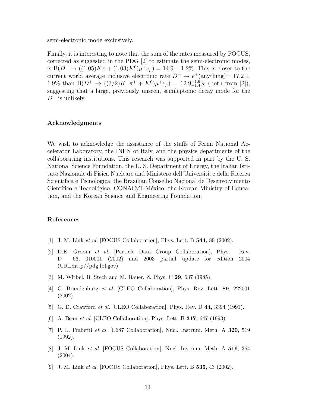semi-electronic mode exclusively.

Finally, it is interesting to note that the sum of the rates measured by FOCUS, corrected as suggested in the PDG [2] to estimate the semi-electronic modes, is  $B(D^+ \to ((1.05)K\pi + (1.03)K^0)\mu^+\nu_\mu) = 14.9 \pm 1.2\%$ . This is closer to the current world average inclusive electronic rate  $D^+ \rightarrow e^+$  (anything) = 17.2  $\pm$ 1.9% than  $B(D^+ \to ((3/2)K^-\pi^+ + K^0)\mu^+\nu_\mu) = 12.9^{+1.6}_{-1.4}\%$  (both from [2]), suggesting that a large, previously unseen, semileptonic decay mode for the  $D^+$  is unlikely.

# Acknowledgments

We wish to acknowledge the assistance of the staffs of Fermi National Accelerator Laboratory, the INFN of Italy, and the physics departments of the collaborating institutions. This research was supported in part by the U. S. National Science Foundation, the U. S. Department of Energy, the Italian Istituto Nazionale di Fisica Nucleare and Ministero dell'Universit`a e della Ricerca Scientifica e Tecnologica, the Brazilian Conselho Nacional de Desenvolvimento Científico e Tecnológico, CONACyT-México, the Korean Ministry of Education, and the Korean Science and Engineering Foundation.

# References

- [1] J. M. Link *et al.* [FOCUS Collaboration], Phys. Lett. B **544**, 89 (2002).
- [2] D.E. Groom et al. [Particle Data Group Collaboration], Phys. Rev. D 66, 010001 (2002) and 2003 partial update for edition 2004 (URL:http//pdg.lbl.gov).
- [3] M. Wirbel, B. Stech and M. Bauer, Z. Phys. C 29, 637 (1985).
- [4] G. Brandenburg et al. [CLEO Collaboration], Phys. Rev. Lett. 89, 222001 (2002).
- [5] G. D. Crawford *et al.* [CLEO Collaboration], Phys. Rev. D 44, 3394 (1991).
- [6] A. Bean *et al.* [CLEO Collaboration], Phys. Lett. B **317**, 647 (1993).
- [7] P. L. Frabetti et al. [E687 Collaboration], Nucl. Instrum. Meth. A 320, 519 (1992).
- [8] J. M. Link et al. [FOCUS Collaboration], Nucl. Instrum. Meth. A 516, 364 (2004).
- [9] J. M. Link et al. [FOCUS Collaboration], Phys. Lett. B 535, 43 (2002).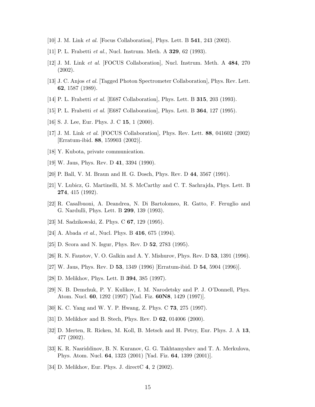- [10] J. M. Link et al. [Focus Collaboration], Phys. Lett. B 541, 243 (2002).
- [11] P. L. Frabetti *et al.*, Nucl. Instrum. Meth. A **329**, 62 (1993).
- [12] J. M. Link et al. [FOCUS Collaboration], Nucl. Instrum. Meth. A 484, 270 (2002).
- [13] J. C. Anjos et al. [Tagged Photon Spectrometer Collaboration], Phys. Rev. Lett. 62, 1587 (1989).
- [14] P. L. Frabetti et al. [E687 Collaboration], Phys. Lett. B 315, 203 (1993).
- [15] P. L. Frabetti et al. [E687 Collaboration], Phys. Lett. B 364, 127 (1995).
- [16] S. J. Lee, Eur. Phys. J. C **15**, 1 (2000).
- [17] J. M. Link et al. [FOCUS Collaboration], Phys. Rev. Lett. 88, 041602 (2002) [Erratum-ibid. 88, 159903 (2002)].
- [18] Y. Kubota, private communication.
- [19] W. Jaus, Phys. Rev. D 41, 3394 (1990).
- [20] P. Ball, V. M. Braun and H. G. Dosch, Phys. Rev. D 44, 3567 (1991).
- [21] V. Lubicz, G. Martinelli, M. S. McCarthy and C. T. Sachrajda, Phys. Lett. B 274, 415 (1992).
- [22] R. Casalbuoni, A. Deandrea, N. Di Bartolomeo, R. Gatto, F. Feruglio and G. Nardulli, Phys. Lett. B 299, 139 (1993).
- [23] M. Sadzikowski, Z. Phys. C 67, 129 (1995).
- [24] A. Abada *et al.*, Nucl. Phys. B  $416$ , 675 (1994).
- [25] D. Scora and N. Isgur, Phys. Rev. D 52, 2783 (1995).
- [26] R. N. Faustov, V. O. Galkin and A. Y. Mishurov, Phys. Rev. D 53, 1391 (1996).
- [27] W. Jaus, Phys. Rev. D 53, 1349 (1996) [Erratum-ibid. D 54, 5904 (1996)].
- [28] D. Melikhov, Phys. Lett. B 394, 385 (1997).
- [29] N. B. Demchuk, P. Y. Kulikov, I. M. Narodetsky and P. J. O'Donnell, Phys. Atom. Nucl. 60, 1292 (1997) [Yad. Fiz. 60N8, 1429 (1997)].
- [30] K. C. Yang and W. Y. P. Hwang, Z. Phys. C 73, 275 (1997).
- [31] D. Melikhov and B. Stech, Phys. Rev. D 62, 014006 (2000).
- [32] D. Merten, R. Ricken, M. Koll, B. Metsch and H. Petry, Eur. Phys. J. A 13, 477 (2002).
- [33] K. R. Nasriddinov, B. N. Kuranov, G. G. Takhtamyshev and T. A. Merkulova, Phys. Atom. Nucl. 64, 1323 (2001) [Yad. Fiz. 64, 1399 (2001)].
- [34] D. Melikhov, Eur. Phys. J. directC 4, 2 (2002).